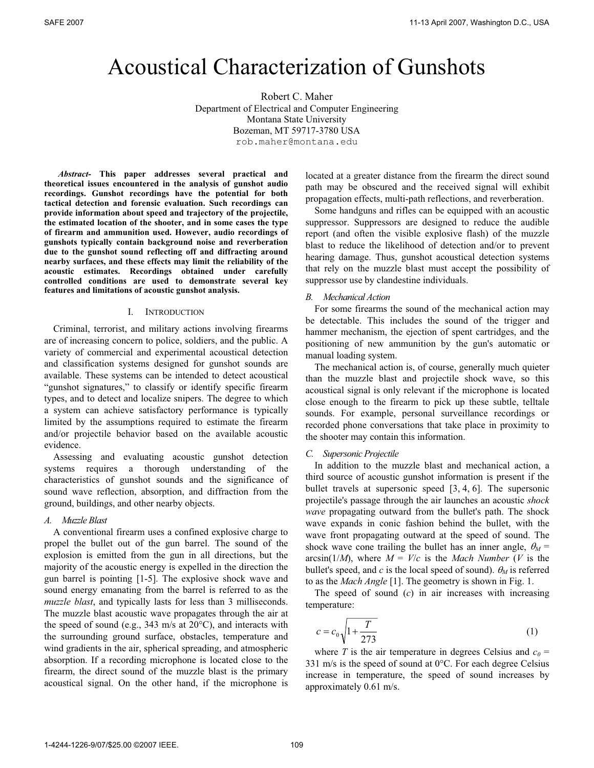# Acoustical Characterization of Gunshots

Robert C. Maher Department of Electrical and Computer Engineering Montana State University Bozeman, MT 59717-3780 USA rob.maher@montana.edu

*Abstract-* **This paper addresses several practical and theoretical issues encountered in the analysis of gunshot audio recordings. Gunshot recordings have the potential for both tactical detection and forensic evaluation. Such recordings can provide information about speed and trajectory of the projectile, the estimated location of the shooter, and in some cases the type of firearm and ammunition used. However, audio recordings of gunshots typically contain background noise and reverberation due to the gunshot sound reflecting off and diffracting around nearby surfaces, and these effects may limit the reliability of the acoustic estimates. Recordings obtained under carefully controlled conditions are used to demonstrate several key features and limitations of acoustic gunshot analysis.** 

### I. INTRODUCTION

Criminal, terrorist, and military actions involving firearms are of increasing concern to police, soldiers, and the public. A variety of commercial and experimental acoustical detection and classification systems designed for gunshot sounds are available. These systems can be intended to detect acoustical "gunshot signatures," to classify or identify specific firearm types, and to detect and localize snipers. The degree to which a system can achieve satisfactory performance is typically limited by the assumptions required to estimate the firearm and/or projectile behavior based on the available acoustic evidence.

Assessing and evaluating acoustic gunshot detection systems requires a thorough understanding of the characteristics of gunshot sounds and the significance of sound wave reflection, absorption, and diffraction from the ground, buildings, and other nearby objects.

### *A. Muzzle Blast*

A conventional firearm uses a confined explosive charge to propel the bullet out of the gun barrel. The sound of the explosion is emitted from the gun in all directions, but the majority of the acoustic energy is expelled in the direction the gun barrel is pointing [1-5]. The explosive shock wave and sound energy emanating from the barrel is referred to as the *muzzle blast*, and typically lasts for less than 3 milliseconds. The muzzle blast acoustic wave propagates through the air at the speed of sound (e.g., 343 m/s at  $20^{\circ}$ C), and interacts with the surrounding ground surface, obstacles, temperature and wind gradients in the air, spherical spreading, and atmospheric absorption. If a recording microphone is located close to the firearm, the direct sound of the muzzle blast is the primary acoustical signal. On the other hand, if the microphone is located at a greater distance from the firearm the direct sound path may be obscured and the received signal will exhibit propagation effects, multi-path reflections, and reverberation.

Some handguns and rifles can be equipped with an acoustic suppressor. Suppressors are designed to reduce the audible report (and often the visible explosive flash) of the muzzle blast to reduce the likelihood of detection and/or to prevent hearing damage. Thus, gunshot acoustical detection systems that rely on the muzzle blast must accept the possibility of suppressor use by clandestine individuals.

## *B. Mechanical Action*

For some firearms the sound of the mechanical action may be detectable. This includes the sound of the trigger and hammer mechanism, the ejection of spent cartridges, and the positioning of new ammunition by the gun's automatic or manual loading system.

The mechanical action is, of course, generally much quieter than the muzzle blast and projectile shock wave, so this acoustical signal is only relevant if the microphone is located close enough to the firearm to pick up these subtle, telltale sounds. For example, personal surveillance recordings or recorded phone conversations that take place in proximity to the shooter may contain this information.

## *C. Supersonic Projectile*

In addition to the muzzle blast and mechanical action, a third source of acoustic gunshot information is present if the bullet travels at supersonic speed [3, 4, 6]. The supersonic projectile's passage through the air launches an acoustic *shock wave* propagating outward from the bullet's path. The shock wave expands in conic fashion behind the bullet, with the wave front propagating outward at the speed of sound. The shock wave cone trailing the bullet has an inner angle,  $\theta_M$  = arcsin( $1/M$ ), where  $M = V/c$  is the *Mach Number (V* is the bullet's speed, and *c* is the local speed of sound).  $\theta_M$  is referred to as the *Mach Angle* [1]. The geometry is shown in Fig. 1.

The speed of sound (*c*) in air increases with increasing temperature:

$$
c = c_0 \sqrt{1 + \frac{T}{273}}
$$
 (1)

where *T* is the air temperature in degrees Celsius and  $c_0$  = 331 m/s is the speed of sound at 0°C. For each degree Celsius increase in temperature, the speed of sound increases by approximately 0.61 m/s.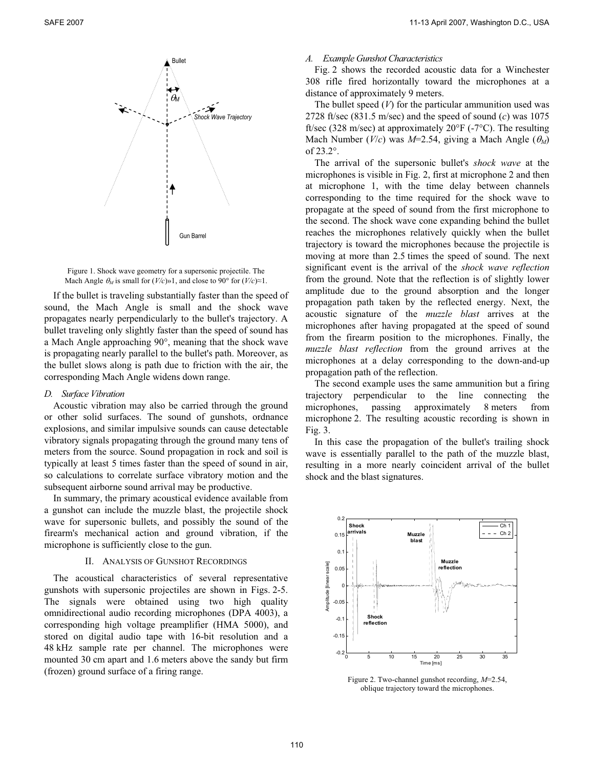

Figure 1. Shock wave geometry for a supersonic projectile. The Mach Angle  $\theta_M$  is small for  $(V/c) \gg 1$ , and close to 90° for  $(V/c) \approx 1$ .

If the bullet is traveling substantially faster than the speed of sound, the Mach Angle is small and the shock wave propagates nearly perpendicularly to the bullet's trajectory. A bullet traveling only slightly faster than the speed of sound has a Mach Angle approaching 90°, meaning that the shock wave is propagating nearly parallel to the bullet's path. Moreover, as the bullet slows along is path due to friction with the air, the corresponding Mach Angle widens down range.

## *D. Surface Vibration*

Acoustic vibration may also be carried through the ground or other solid surfaces. The sound of gunshots, ordnance explosions, and similar impulsive sounds can cause detectable vibratory signals propagating through the ground many tens of meters from the source. Sound propagation in rock and soil is typically at least 5 times faster than the speed of sound in air, so calculations to correlate surface vibratory motion and the subsequent airborne sound arrival may be productive.

In summary, the primary acoustical evidence available from a gunshot can include the muzzle blast, the projectile shock wave for supersonic bullets, and possibly the sound of the firearm's mechanical action and ground vibration, if the microphone is sufficiently close to the gun.

## II. ANALYSIS OF GUNSHOT RECORDINGS

The acoustical characteristics of several representative gunshots with supersonic projectiles are shown in Figs. 2-5. The signals were obtained using two high quality omnidirectional audio recording microphones (DPA 4003), a corresponding high voltage preamplifier (HMA 5000), and stored on digital audio tape with 16-bit resolution and a 48 kHz sample rate per channel. The microphones were mounted 30 cm apart and 1.6 meters above the sandy but firm (frozen) ground surface of a firing range.

### *A. Example Gunshot Characteristics*

Fig. 2 shows the recorded acoustic data for a Winchester 308 rifle fired horizontally toward the microphones at a

distance of approximately 9 meters.<br>The bullet speed (*V*) for the particular ammunition used was 2728 ft/sec (831.5 m/sec) and the speed of sound (*c*) was 1075 ft/sec (328 m/sec) at approximately 20°F (-7°C). The resulting Mach Number ( $V/c$ ) was  $M=2.54$ , giving a Mach Angle ( $\theta_M$ ) of 23.2°.

> The arrival of the supersonic bullet's *shock wave* at the microphones is visible in Fig. 2, first at microphone 2 and then at microphone 1, with the time delay between channels corresponding to the time required for the shock wave to propagate at the speed of sound from the first microphone to the second. The shock wave cone expanding behind the bullet reaches the microphones relatively quickly when the bullet trajectory is toward the microphones because the projectile is moving at more than 2.5 times the speed of sound. The next significant event is the arrival of the *shock wave reflection* from the ground. Note that the reflection is of slightly lower amplitude due to the ground absorption and the longer propagation path taken by the reflected energy. Next, the acoustic signature of the *muzzle blast* arrives at the microphones after having propagated at the speed of sound from the firearm position to the microphones. Finally, the *muzzle blast reflection* from the ground arrives at the microphones at a delay corresponding to the down-and-up propagation path of the reflection.

> The second example uses the same ammunition but a firing trajectory perpendicular to the line connecting the microphones, passing approximately 8 meters from microphone 2. The resulting acoustic recording is shown in Fig. 3.

> In this case the propagation of the bullet's trailing shock wave is essentially parallel to the path of the muzzle blast, resulting in a more nearly coincident arrival of the bullet shock and the blast signatures.



Figure 2. Two-channel gunshot recording, *M*=2.54, oblique trajectory toward the microphones.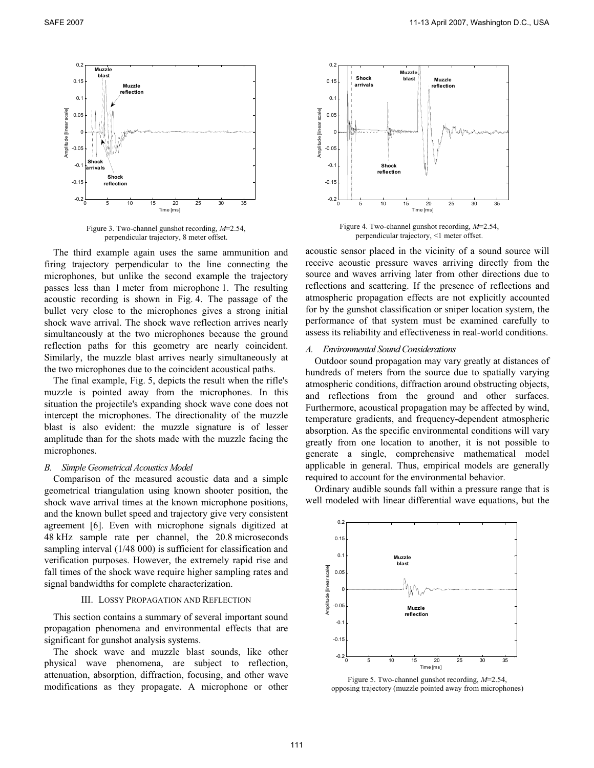

Figure 3. Two-channel gunshot recording, *M*=2.54, perpendicular trajectory, 8 meter offset.

The third example again uses the same ammunition and firing trajectory perpendicular to the line connecting the microphones, but unlike the second example the trajectory passes less than 1 meter from microphone 1. The resulting acoustic recording is shown in Fig. 4. The passage of the bullet very close to the microphones gives a strong initial shock wave arrival. The shock wave reflection arrives nearly simultaneously at the two microphones because the ground reflection paths for this geometry are nearly coincident. Similarly, the muzzle blast arrives nearly simultaneously at the two microphones due to the coincident acoustical paths.

The final example, Fig. 5, depicts the result when the rifle's muzzle is pointed away from the microphones. In this situation the projectile's expanding shock wave cone does not intercept the microphones. The directionality of the muzzle blast is also evident: the muzzle signature is of lesser amplitude than for the shots made with the muzzle facing the microphones.

#### *B. Simple Geometrical Acoustics Model*

Comparison of the measured acoustic data and a simple geometrical triangulation using known shooter position, the shock wave arrival times at the known microphone positions, and the known bullet speed and trajectory give very consistent agreement [6]. Even with microphone signals digitized at 48 kHz sample rate per channel, the 20.8 microseconds sampling interval (1/48 000) is sufficient for classification and verification purposes. However, the extremely rapid rise and fall times of the shock wave require higher sampling rates and signal bandwidths for complete characterization.

#### III. LOSSY PROPAGATION AND REFLECTION

This section contains a summary of several important sound propagation phenomena and environmental effects that are significant for gunshot analysis systems.

The shock wave and muzzle blast sounds, like other physical wave phenomena, are subject to reflection, attenuation, absorption, diffraction, focusing, and other wave modifications as they propagate. A microphone or other



Figure 4. Two-channel gunshot recording, *M*=2.54, perpendicular trajectory, <1 meter offset.

acoustic sensor placed in the vicinity of a sound source will receive acoustic pressure waves arriving directly from the source and waves arriving later from other directions due to reflections and scattering. If the presence of reflections and atmospheric propagation effects are not explicitly accounted for by the gunshot classification or sniper location system, the performance of that system must be examined carefully to assess its reliability and effectiveness in real-world conditions.

#### *A. Environmental Sound Considerations*

Outdoor sound propagation may vary greatly at distances of hundreds of meters from the source due to spatially varying atmospheric conditions, diffraction around obstructing objects, and reflections from the ground and other surfaces. Furthermore, acoustical propagation may be affected by wind, temperature gradients, and frequency-dependent atmospheric absorption. As the specific environmental conditions will vary greatly from one location to another, it is not possible to generate a single, comprehensive mathematical model applicable in general. Thus, empirical models are generally required to account for the environmental behavior.

Ordinary audible sounds fall within a pressure range that is well modeled with linear differential wave equations, but the



Figure 5. Two-channel gunshot recording, *M*=2.54, opposing trajectory (muzzle pointed away from microphones)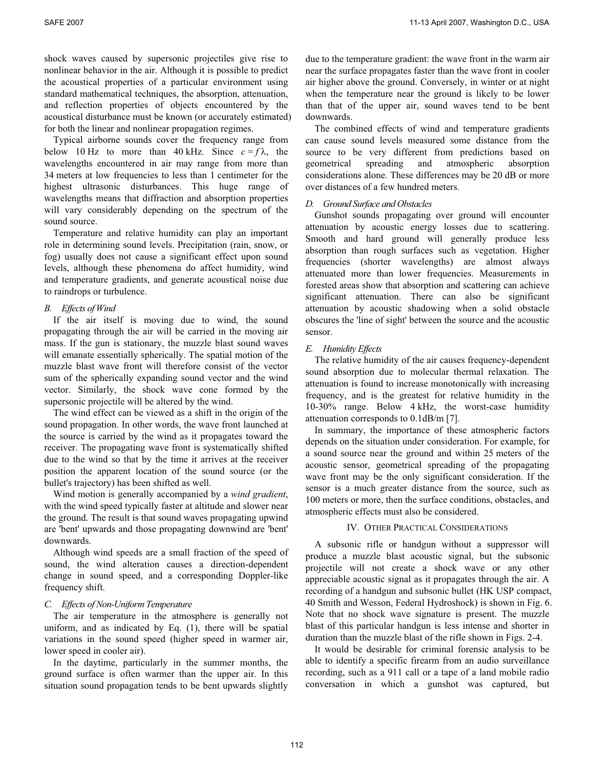shock waves caused by supersonic projectiles give rise to nonlinear behavior in the air. Although it is possible to predict the acoustical properties of a particular environment using standard mathematical techniques, the absorption, attenuation, and reflection properties of objects encountered by the acoustical disturbance must be known (or accurately estimated) for both the linear and nonlinear propagation regimes.

Typical airborne sounds cover the frequency range from below 10 Hz to more than 40 kHz. Since  $c = f\lambda$ , the wavelengths encountered in air may range from more than 34 meters at low frequencies to less than 1 centimeter for the highest ultrasonic disturbances. This huge range of wavelengths means that diffraction and absorption properties will vary considerably depending on the spectrum of the sound source.

Temperature and relative humidity can play an important role in determining sound levels. Precipitation (rain, snow, or fog) usually does not cause a significant effect upon sound levels, although these phenomena do affect humidity, wind and temperature gradients, and generate acoustical noise due to raindrops or turbulence.

## *B. Effects of Wind*

If the air itself is moving due to wind, the sound propagating through the air will be carried in the moving air mass. If the gun is stationary, the muzzle blast sound waves will emanate essentially spherically. The spatial motion of the muzzle blast wave front will therefore consist of the vector sum of the spherically expanding sound vector and the wind vector. Similarly, the shock wave cone formed by the supersonic projectile will be altered by the wind.

The wind effect can be viewed as a shift in the origin of the sound propagation. In other words, the wave front launched at the source is carried by the wind as it propagates toward the receiver. The propagating wave front is systematically shifted due to the wind so that by the time it arrives at the receiver position the apparent location of the sound source (or the bullet's trajectory) has been shifted as well.

Wind motion is generally accompanied by a *wind gradient*, with the wind speed typically faster at altitude and slower near the ground. The result is that sound waves propagating upwind are 'bent' upwards and those propagating downwind are 'bent' downwards.

Although wind speeds are a small fraction of the speed of sound, the wind alteration causes a direction-dependent change in sound speed, and a corresponding Doppler-like frequency shift.

## *C. Effects of Non-Uniform Temperature*

The air temperature in the atmosphere is generally not uniform, and as indicated by Eq. (1), there will be spatial variations in the sound speed (higher speed in warmer air, lower speed in cooler air).

In the daytime, particularly in the summer months, the ground surface is often warmer than the upper air. In this situation sound propagation tends to be bent upwards slightly due to the temperature gradient: the wave front in the warm air near the surface propagates faster than the wave front in cooler air higher above the ground. Conversely, in winter or at night when the temperature near the ground is likely to be lower than that of the upper air, sound waves tend to be bent downwards.

The combined effects of wind and temperature gradients can cause sound levels measured some distance from the source to be very different from predictions based on geometrical spreading and atmospheric absorption considerations alone. These differences may be 20 dB or more over distances of a few hundred meters.

# *D. Ground Surface and Obstacles*

Gunshot sounds propagating over ground will encounter attenuation by acoustic energy losses due to scattering. Smooth and hard ground will generally produce less absorption than rough surfaces such as vegetation. Higher frequencies (shorter wavelengths) are almost always attenuated more than lower frequencies. Measurements in forested areas show that absorption and scattering can achieve significant attenuation. There can also be significant attenuation by acoustic shadowing when a solid obstacle obscures the 'line of sight' between the source and the acoustic sensor.

# *E. Humidity Effects*

The relative humidity of the air causes frequency-dependent sound absorption due to molecular thermal relaxation. The attenuation is found to increase monotonically with increasing frequency, and is the greatest for relative humidity in the 10-30% range. Below 4 kHz, the worst-case humidity attenuation corresponds to 0.1dB/m [7].

In summary, the importance of these atmospheric factors depends on the situation under consideration. For example, for a sound source near the ground and within 25 meters of the acoustic sensor, geometrical spreading of the propagating wave front may be the only significant consideration. If the sensor is a much greater distance from the source, such as 100 meters or more, then the surface conditions, obstacles, and atmospheric effects must also be considered.

# IV. OTHER PRACTICAL CONSIDERATIONS

A subsonic rifle or handgun without a suppressor will produce a muzzle blast acoustic signal, but the subsonic projectile will not create a shock wave or any other appreciable acoustic signal as it propagates through the air. A recording of a handgun and subsonic bullet (HK USP compact, 40 Smith and Wesson, Federal Hydroshock) is shown in Fig. 6. Note that no shock wave signature is present. The muzzle blast of this particular handgun is less intense and shorter in duration than the muzzle blast of the rifle shown in Figs. 2-4.

It would be desirable for criminal forensic analysis to be able to identify a specific firearm from an audio surveillance recording, such as a 911 call or a tape of a land mobile radio conversation in which a gunshot was captured, but